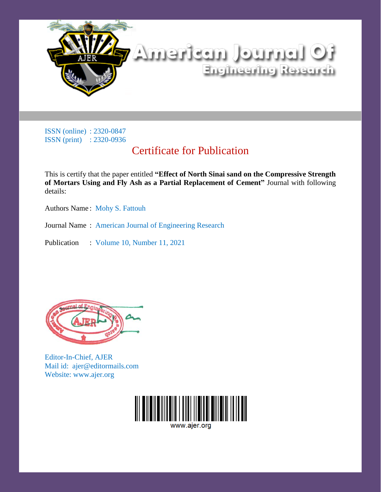

ISSN (online) : 2320-0847 ISSN (print) : 2320-0936

## Certificate for Publication

This is certify that the paper entitled **"Effect of North Sinai sand on the Compressive Strength of Mortars Using and Fly Ash as a Partial Replacement of Cement"** Journal with following details:

Authors Name : Mohy S. Fattouh

Journal Name : American Journal of Engineering Research

Publication : Volume 10, Number 11, 2021



Editor-In-Chief, AJER Mail id: ajer@editormails.com Website: www.ajer.org



www.aier.org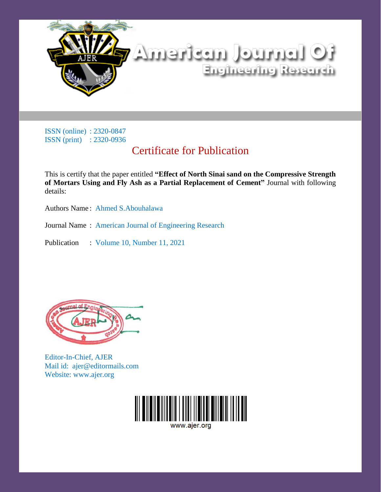

ISSN (online) : 2320-0847 ISSN (print) : 2320-0936

## Certificate for Publication

This is certify that the paper entitled **"Effect of North Sinai sand on the Compressive Strength of Mortars Using and Fly Ash as a Partial Replacement of Cement"** Journal with following details:

Authors Name : Ahmed S.Abouhalawa

Journal Name : American Journal of Engineering Research

Publication : Volume 10, Number 11, 2021



Editor-In-Chief, AJER Mail id: ajer@editormails.com Website: www.ajer.org



www.aier.org